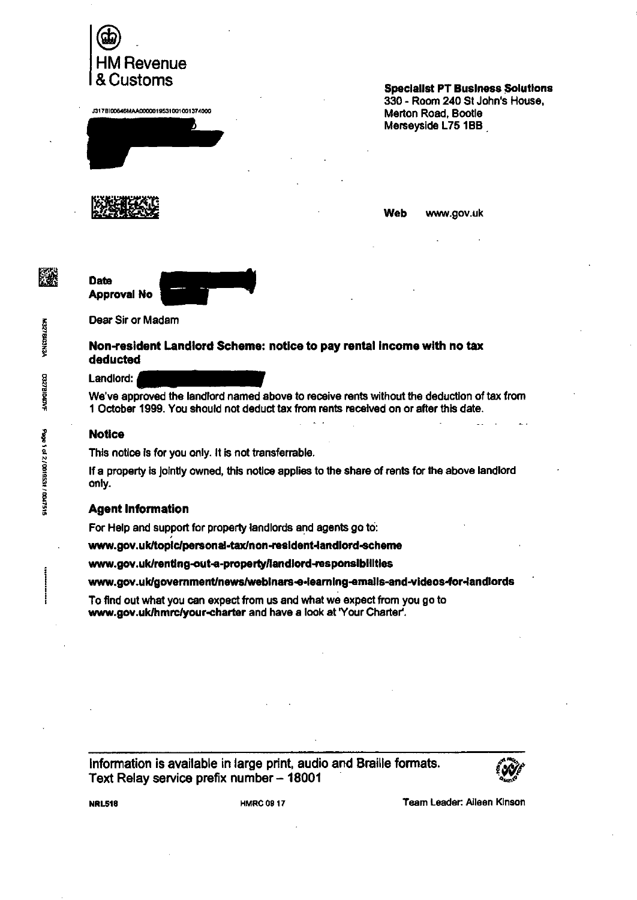

1317B10C646MAA000)019531001001374000



**Specialist PT Business Solutions 330 - Room 240 St John's House,** 

**Web www.gov.uk** 



**Dear Sir or Madam** 

## **Non-resident Landlord Scheme: notice to pay rental Income with no tax deducted**

## **Landlord:**

**We've approved the landlord named above to receive rents without the deduction of tax from 1 October 1999. You should not deduct tax from rents received on or after this date.** 

## **Notice**

**This notice is for you only. It is not transferrable.** 

**If a property is Jointly owned, this notice applies to the share of rents for the above landlord only.** 

## **Agent Information**

**For Help and support for property landlords and agents go to:** 

www.gov.uk/topic/personal-tax/non-resident-landlord-scheme

**vanv.gov.uldrentIng-out-a-propertyfiandlord-responsIbIlltles** 

www.gov.uk/government/news/webinars-e-learning-emails-and-videos-for-landlords

**To find out what you can expect from us and what we expect from you go to**  www.gov.uk/hmrc/your-charter and have a look at 'Your Charter'.

**Information is available in large print, audio and Braille formats. Text Relay service prefix number — 18001** 



**NRL518 HMRC 09 17 HMRC 09 17 Team Leader: Aileen Kinson** 

籭